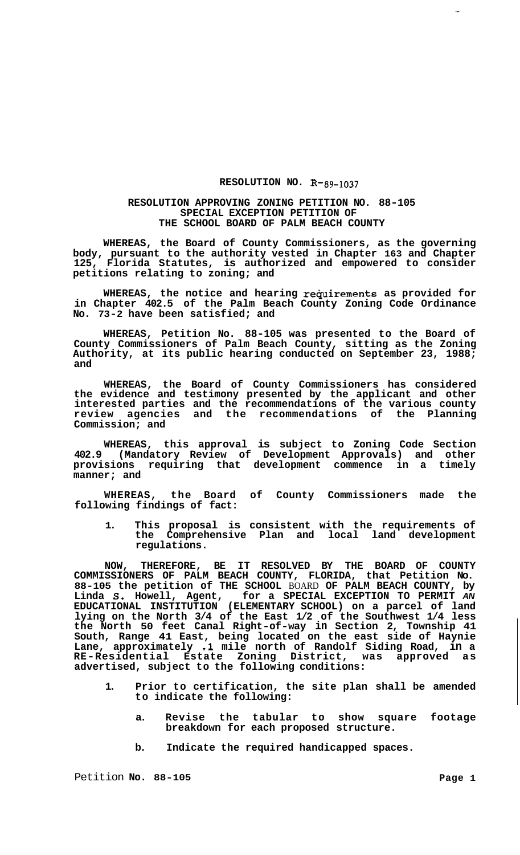## **RESOLUTION NO. R-89-1037**

## **RESOLUTION APPROVING ZONING PETITION NO. 88-105 SPECIAL EXCEPTION PETITION OF THE SCHOOL BOARD OF PALM BEACH COUNTY**

**WHEREAS, the Board of County Commissioners, as the governing body, pursuant to the authority vested in Chapter 163 and Chapter 125, Florida Statutes, is authorized and empowered to consider petitions relating to zoning; and** 

WHEREAS, the notice and hearing requirements as provided for **in Chapter 402.5 of the Palm Beach County Zoning Code Ordinance No. 73-2 have been satisfied; and** 

**WHEREAS, Petition No. 88-105 was presented to the Board of County Commissioners of Palm Beach County, sitting as the Zoning Authority, at its public hearing conducted on September 23, 1988; and** 

**WHEREAS, the Board of County Commissioners has considered the evidence and testimony presented by the applicant and other interested parties and the recommendations of the various county review agencies and the recommendations of the Planning Commission; and** 

**WHEREAS, this approval is subject to Zoning Code Section 402.9 (Mandatory Review of Development Approvals) and other provisions requiring that development commence in a timely manner; and** 

**WHEREAS, the Board of County Commissioners made the following findings of fact:** 

**1. This proposal is consistent with the requirements of the Comprehensive Plan and local land development regulations.** 

**NOW, THEREFORE, BE IT RESOLVED BY THE BOARD OF COUNTY COMMISSIONERS OF PALM BEACH COUNTY, FLORIDA, that Petition No. 88-105 the petition of THE SCHOOL** BOARD **OF PALM BEACH COUNTY, by Linda** *S.* **Howell, Agent, for a SPECIAL EXCEPTION TO PERMIT** *AN*  **EDUCATIONAL INSTITUTION (ELEMENTARY SCHOOL) on a parcel of land lying on the North 3/4 of the East 1/2 of the Southwest 1/4 less the North 50 feet Canal Right-of-way in Section 2, Township 41 South, Range 41 East, being located on the east side of Haynie Lane, approximately .1 mile north of Randolf Siding Road, in a RE-Residential Estate Zoning District, was approved as advertised, subject to the following conditions:** 

- **1. Prior to certification, the site plan shall be amended to indicate the following:** 
	- **a. Revise the tabular to show square footage breakdown for each proposed structure.**
	- **b. Indicate the required handicapped spaces.**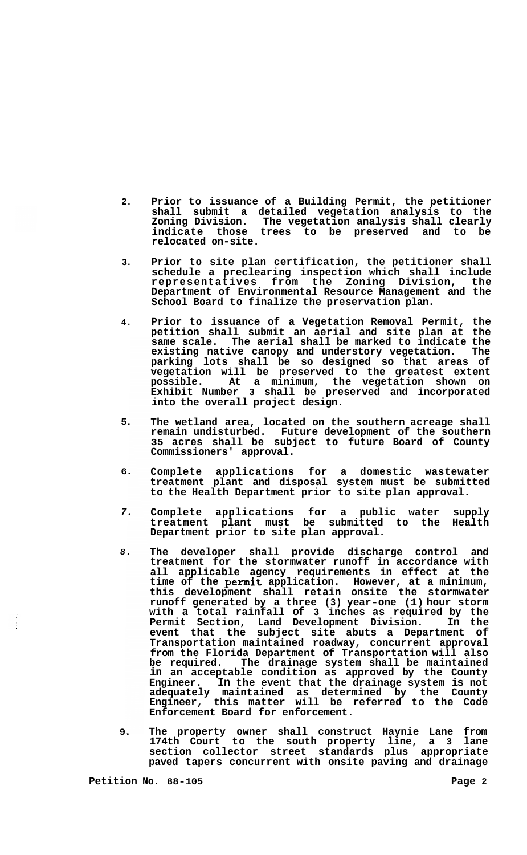- **2. Prior to issuance of a Building Permit, the petitioner shall submit a detailed vegetation analysis to the Zoning Division. The vegetation analysis shall clearly indicate those trees to be preserved and to be relocated on-site.**
- **3. Prior to site plan certification, the petitioner shall schedule a preclearing inspection which shall include representatives from the Zoning Division, the Department of Environmental Resource Management and the School Board to finalize the preservation plan.**
- **4. Prior to issuance of a Vegetation Removal Permit, the petition shall submit an aerial and site plan at the same scale. The aerial shall be marked to indicate the existing native canopy and understory vegetation. The parking lots shall be so designed so that areas of vegetation will be preserved to the greatest extent possible. At a minimum, the vegetation shown on Exhibit Number 3 shall be preserved and incorporated into the overall project design.**
- **5. The wetland area, located on the southern acreage shall remain undisturbed. Future development of the southern 35 acres shall be subject to future Board of County Commissioners' approval.**
- **6. Complete applications for a domestic wastewater treatment plant and disposal system must be submitted to the Health Department prior to site plan approval.**
- *7.*  **Complete applications for a public water supply treatment plant must be submitted to the Health Department prior to site plan approval.**
- *8.*  **The developer shall provide discharge control and treatment for the stormwater runoff in accordance with all applicable agency requirements in effect at the time of the permit application. However, at a minimum, this development shall retain onsite the stormwater runoff generated by a three (3) year-one (1) hour storm with a total rainfall of 3 inches as required by the Permit Section, Land Development Division. In the event that the subject site abuts a Department of Transportation maintained roadway, concurrent approval from the Florida Department of Transportation will also**  The drainage system shall be maintained **in an acceptable condition as approved by the County Engineer. In the event that the drainage system is not adequately maintained as determined by the County Engineer, this matter will be referred to the Code Enforcement Board for enforcement.**
- **9. The property owner shall construct Haynie Lane from 174th Court to the south property line, a 3 lane section collector street standards plus appropriate paved tapers concurrent with onsite paving and drainage**

 $\frac{1}{2}$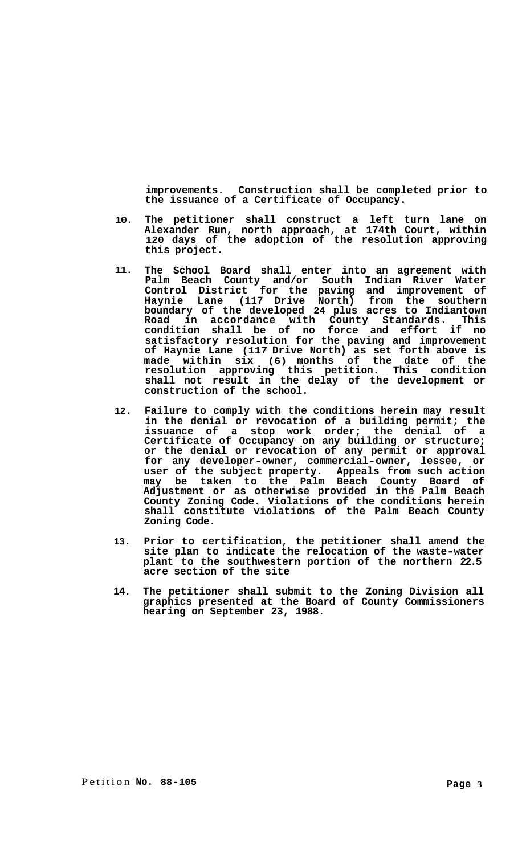**improvements. Construction shall be completed prior to the issuance of a Certificate of Occupancy.** 

- **10. The petitioner shall construct a left turn lane on Alexander Run, north approach, at 174th Court, within 120 days of the adoption of the resolution approving this project.**
- **11. The School Board shall enter into an agreement with Palm Beach County and/or South Indian River Water Control District for the paving and improvement of Haynie Lane (117 Drive North) from the southern boundary of the developed 24 plus acres to Indiantown Road in accordance with County Standards. This condition shall be of no force and effort if no satisfactory resolution for the paving and improvement of Haynie Lane (117 Drive North) as set forth above is made within six (6) months of the date of the resolution approving this petition. This condition shall not result in the delay of the development or construction of the school.**
- **12. Failure to comply with the conditions herein may result in the denial or revocation of a building permit; the issuance of a stop work order; the denial of a Certificate of Occupancy on any building or structure; or the denial or revocation of any permit or approval for any developer-owner, commercial-owner, lessee, or user of the subject property. Appeals from such action may be taken to the Palm Beach County Board of Adjustment or as otherwise provided in the Palm Beach County Zoning Code. Violations of the conditions herein shall constitute violations of the Palm Beach County Zoning Code.**
- **13. Prior to certification, the petitioner shall amend the site plan to indicate the relocation of the waste-water plant to the southwestern portion of the northern 22.5 acre section of the site**
- **14. The petitioner shall submit to the Zoning Division all graphics presented at the Board of County Commissioners hearing on September 23, 1988.**